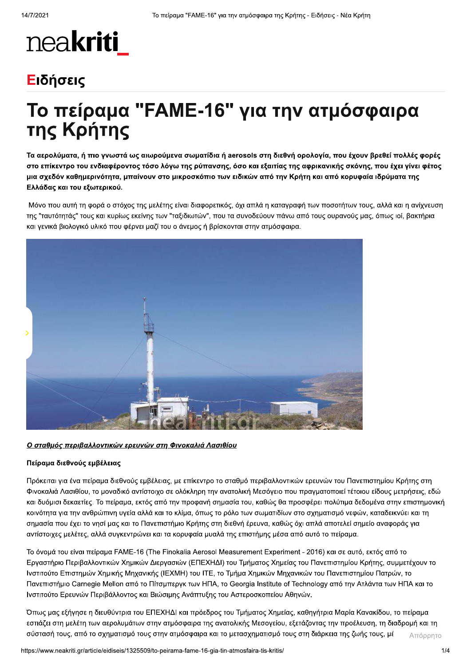# neakriti

### Ειδήσεις

## Το πείραμα "FAME-16" για την ατμόσφαιρα της Κρήτης

Τα αερολύματα, ή πιο γνωστά ως αιωρούμενα σωματίδια ή aerosols στη διεθνή ορολογία, που έχουν βρεθεί πολλές φορές στο επίκεντρο του ενδιαφέροντος τόσο λόγω της ρύπανσης, όσο και εξαιτίας της αφρικανικής σκόνης, που έχει γίνει φέτος μια σχεδόν καθημερινότητα, μπαίνουν στο μικροσκόπιο των ειδικών από την Κρήτη και από κορυφαία ιδρύματα της Ελλάδας και του εξωτερικού.

Μόνο που αυτή τη φορά ο στόχος της μελέτης είναι διαφορετικός, όχι απλά η καταγραφή των ποσοτήτων τους, αλλά και η ανίχνευση της "ταυτότητάς" τους και κυρίως εκείνης των "ταξιδιωτών", που τα συνοδεύουν πάνω από τους ουρανούς μας, όπως ιοί, βακτήρια και γενικά βιολογικό υλικό που φέρνει μαζί του ο άνεμος ή βρίσκονται στην ατμόσφαιρα.



Ο σταθμός περιβαλλοντικών ερευνών στη Φινοκαλιά Λασιθίου

#### Πείραμα διεθνούς εμβέλειας

Πρόκειται για ένα πείραμα διεθνούς εμβέλειας, με επίκεντρο το σταθμό περιβαλλοντικών ερευνών του Πανεπιστημίου Κρήτης στη Φινοκαλιά Λασιθίου, το μοναδικό αντίστοιχο σε ολόκληρη την ανατολική Μεσόγειο που πραγματοποιεί τέτοιου είδους μετρήσεις, εδώ και δυόμισι δεκαετίες. Το πείραμα, εκτός από την προφανή σημασία του, καθώς θα προσφέρει πολύτιμα δεδομένα στην επιστημονική κοινότητα για την ανθρώπινη υγεία αλλά και το κλίμα, όπως το ρόλο των σωματιδίων στο σχηματισμό νεφών, καταδεικνύει και τη σημασία που έχει το νησί μας και το Πανεπιστήμιο Κρήτης στη διεθνή έρευνα, καθώς όχι απλά αποτελεί σημείο αναφοράς για αντίστοιχες μελέτες, αλλά συγκεντρώνει και τα κορυφαία μυαλά της επιστήμης μέσα από αυτό το πείραμα.

Το όνομά του είναι πείραμα FAME-16 (The Finokalia Aerosol Measurement Experiment - 2016) και σε αυτό, εκτός από το Εργαστήριο Περιβαλλοντικών Χημικών Διεργασιών (ΕΠΕΧΗΔΙ) του Τμήματος Χημείας του Πανεπιστημίου Κρήτης, συμμετέχουν το Ινστιτούτο Επιστημών Χημικής Μηχανικής (ΙΕΧΜΗ) του ΙΤΕ, το Τμήμα Χημικών Μηχανικών του Πανεπιστημίου Πατρών, το Πανεπιστήμιο Carnegie Mellon από το Πίτσμπεργκ των ΗΠΑ, το Georgia Institute of Technology από την Ατλάντα των ΗΠΑ και το Ινστιτούτο Ερευνών Περιβάλλοντος και Βιώσιμης Ανάπτυξης του Αστεροσκοπείου Αθηνών.

Όπως μας εξήγησε η διευθύντρια του ΕΠΕΧΗΔΙ και πρόεδρος του Τμήματος Χημείας, καθηγήτρια Μαρία Κανακίδου, το πείραμα εστιάζει στη μελέτη των αερολυμάτων στην ατμόσφαιρα της ανατολικής Μεσογείου, εξετάζοντας την προέλευση, τη διαδρομή και τη σύστασή τους, από το σχηματισμό τους στην ατμόσφαιρα και το μετασχηματισμό τους στη διάρκεια της ζωής τους, μέ Απόρρητο